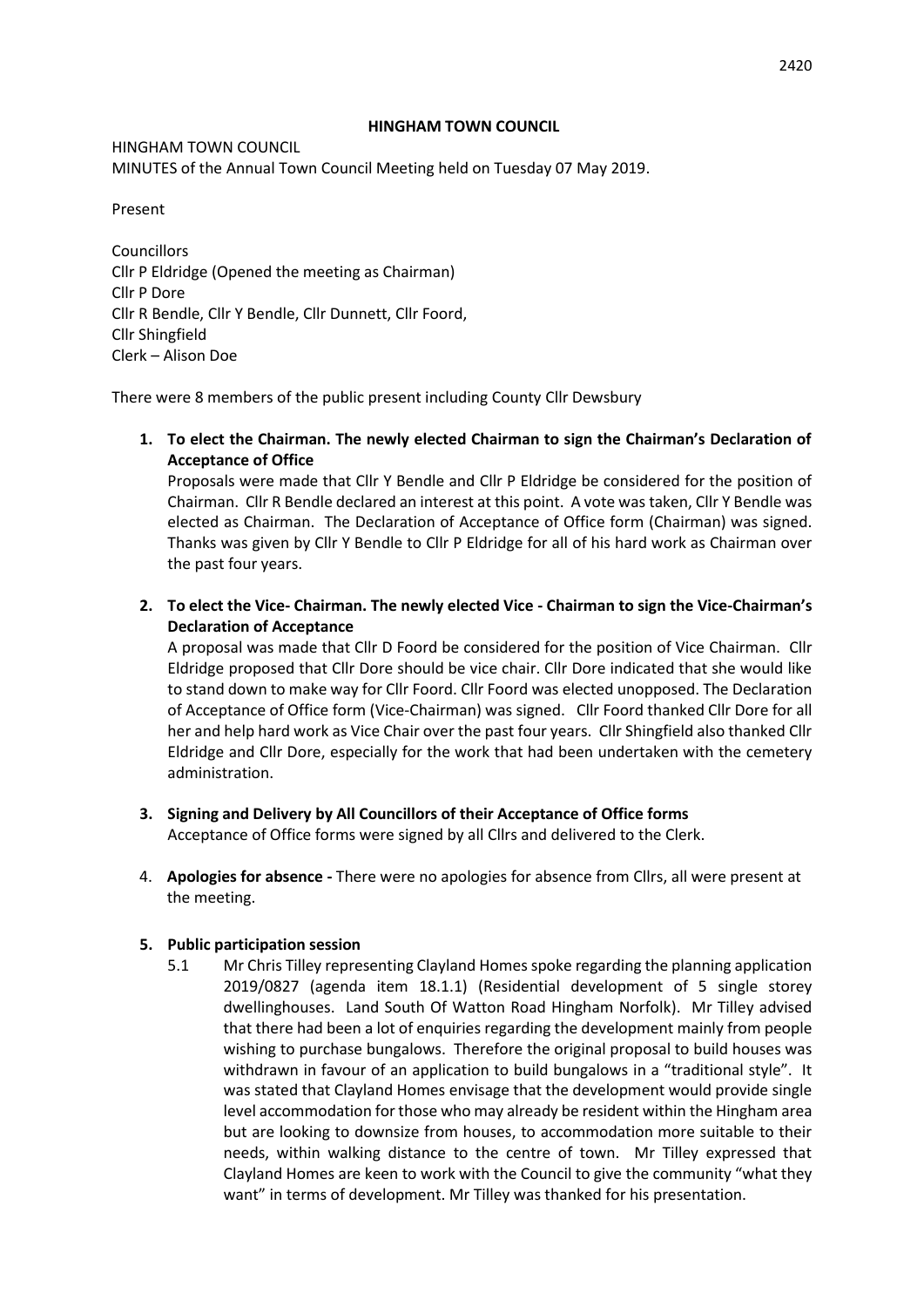### **HINGHAM TOWN COUNCIL**

HINGHAM TOWN COUNCIL MINUTES of the Annual Town Council Meeting held on Tuesday 07 May 2019.

Present

Councillors Cllr P Eldridge (Opened the meeting as Chairman) Cllr P Dore Cllr R Bendle, Cllr Y Bendle, Cllr Dunnett, Cllr Foord, Cllr Shingfield Clerk – Alison Doe

There were 8 members of the public present including County Cllr Dewsbury

**1. To elect the Chairman. The newly elected Chairman to sign the Chairman's Declaration of Acceptance of Office**

Proposals were made that Cllr Y Bendle and Cllr P Eldridge be considered for the position of Chairman. Cllr R Bendle declared an interest at this point. A vote was taken, Cllr Y Bendle was elected as Chairman. The Declaration of Acceptance of Office form (Chairman) was signed. Thanks was given by Cllr Y Bendle to Cllr P Eldridge for all of his hard work as Chairman over the past four years.

**2. To elect the Vice- Chairman. The newly elected Vice - Chairman to sign the Vice-Chairman's Declaration of Acceptance**

A proposal was made that Cllr D Foord be considered for the position of Vice Chairman. Cllr Eldridge proposed that Cllr Dore should be vice chair. Cllr Dore indicated that she would like to stand down to make way for Cllr Foord. Cllr Foord was elected unopposed. The Declaration of Acceptance of Office form (Vice-Chairman) was signed. Cllr Foord thanked Cllr Dore for all her and help hard work as Vice Chair over the past four years. Cllr Shingfield also thanked Cllr Eldridge and Cllr Dore, especially for the work that had been undertaken with the cemetery administration.

- **3. Signing and Delivery by All Councillors of their Acceptance of Office forms** Acceptance of Office forms were signed by all Cllrs and delivered to the Clerk.
- 4. **Apologies for absence -** There were no apologies for absence from Cllrs, all were present at the meeting.

# **5. Public participation session**

5.1 Mr Chris Tilley representing Clayland Homes spoke regarding the planning application 2019/0827 (agenda item 18.1.1) (Residential development of 5 single storey dwellinghouses. Land South Of Watton Road Hingham Norfolk). Mr Tilley advised that there had been a lot of enquiries regarding the development mainly from people wishing to purchase bungalows. Therefore the original proposal to build houses was withdrawn in favour of an application to build bungalows in a "traditional style". It was stated that Clayland Homes envisage that the development would provide single level accommodation for those who may already be resident within the Hingham area but are looking to downsize from houses, to accommodation more suitable to their needs, within walking distance to the centre of town. Mr Tilley expressed that Clayland Homes are keen to work with the Council to give the community "what they want" in terms of development. Mr Tilley was thanked for his presentation.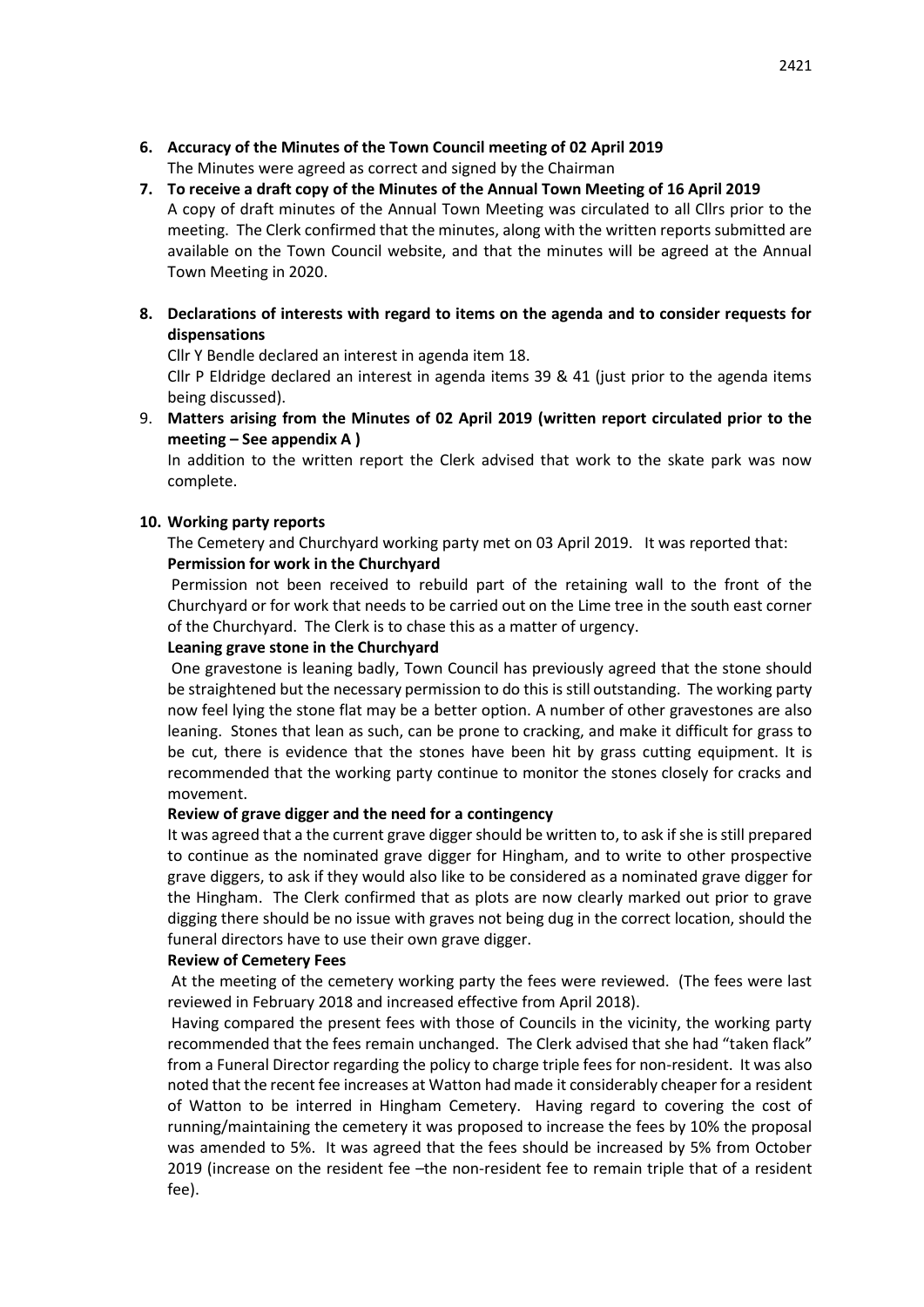- **6. Accuracy of the Minutes of the Town Council meeting of 02 April 2019** The Minutes were agreed as correct and signed by the Chairman
- **7. To receive a draft copy of the Minutes of the Annual Town Meeting of 16 April 2019** A copy of draft minutes of the Annual Town Meeting was circulated to all Cllrs prior to the meeting. The Clerk confirmed that the minutes, along with the written reports submitted are available on the Town Council website, and that the minutes will be agreed at the Annual Town Meeting in 2020.
- **8. Declarations of interests with regard to items on the agenda and to consider requests for dispensations**

Cllr Y Bendle declared an interest in agenda item 18.

Cllr P Eldridge declared an interest in agenda items 39 & 41 (just prior to the agenda items being discussed).

9. **Matters arising from the Minutes of 02 April 2019 (written report circulated prior to the meeting – See appendix A )**

In addition to the written report the Clerk advised that work to the skate park was now complete.

## **10. Working party reports**

The Cemetery and Churchyard working party met on 03 April 2019. It was reported that: **Permission for work in the Churchyard**

Permission not been received to rebuild part of the retaining wall to the front of the Churchyard or for work that needs to be carried out on the Lime tree in the south east corner of the Churchyard. The Clerk is to chase this as a matter of urgency.

### **Leaning grave stone in the Churchyard**

One gravestone is leaning badly, Town Council has previously agreed that the stone should be straightened but the necessary permission to do this is still outstanding. The working party now feel lying the stone flat may be a better option. A number of other gravestones are also leaning. Stones that lean as such, can be prone to cracking, and make it difficult for grass to be cut, there is evidence that the stones have been hit by grass cutting equipment. It is recommended that the working party continue to monitor the stones closely for cracks and movement.

#### **Review of grave digger and the need for a contingency**

It was agreed that a the current grave digger should be written to, to ask if she is still prepared to continue as the nominated grave digger for Hingham, and to write to other prospective grave diggers, to ask if they would also like to be considered as a nominated grave digger for the Hingham. The Clerk confirmed that as plots are now clearly marked out prior to grave digging there should be no issue with graves not being dug in the correct location, should the funeral directors have to use their own grave digger.

#### **Review of Cemetery Fees**

At the meeting of the cemetery working party the fees were reviewed. (The fees were last reviewed in February 2018 and increased effective from April 2018).

Having compared the present fees with those of Councils in the vicinity, the working party recommended that the fees remain unchanged. The Clerk advised that she had "taken flack" from a Funeral Director regarding the policy to charge triple fees for non-resident. It was also noted that the recent fee increases at Watton had made it considerably cheaper for a resident of Watton to be interred in Hingham Cemetery. Having regard to covering the cost of running/maintaining the cemetery it was proposed to increase the fees by 10% the proposal was amended to 5%. It was agreed that the fees should be increased by 5% from October 2019 (increase on the resident fee –the non-resident fee to remain triple that of a resident fee).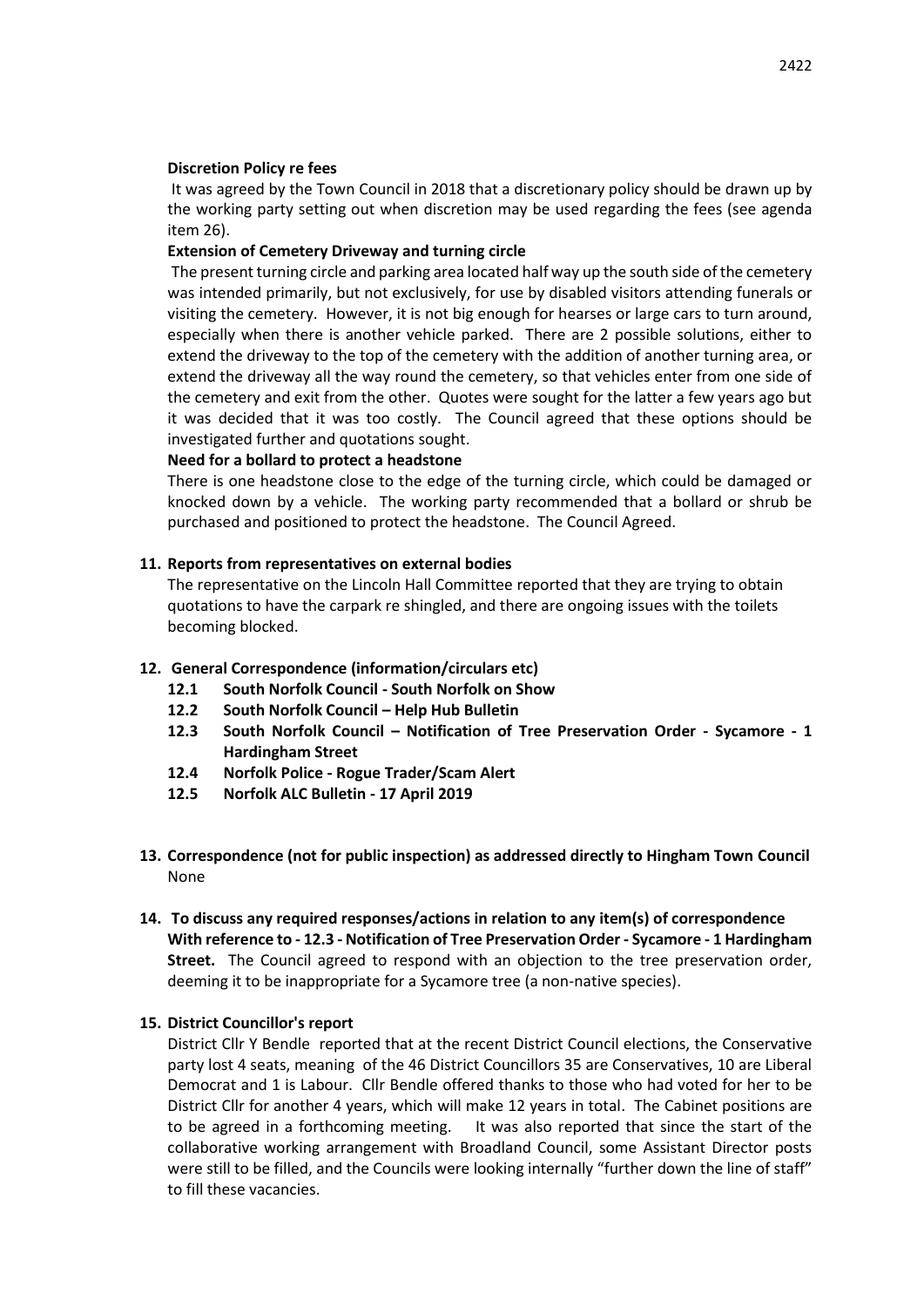### **Discretion Policy re fees**

It was agreed by the Town Council in 2018 that a discretionary policy should be drawn up by the working party setting out when discretion may be used regarding the fees (see agenda item 26).

## **Extension of Cemetery Driveway and turning circle**

The present turning circle and parking area located half way up the south side of the cemetery was intended primarily, but not exclusively, for use by disabled visitors attending funerals or visiting the cemetery. However, it is not big enough for hearses or large cars to turn around, especially when there is another vehicle parked. There are 2 possible solutions, either to extend the driveway to the top of the cemetery with the addition of another turning area, or extend the driveway all the way round the cemetery, so that vehicles enter from one side of the cemetery and exit from the other. Quotes were sought for the latter a few years ago but it was decided that it was too costly. The Council agreed that these options should be investigated further and quotations sought.

### **Need for a bollard to protect a headstone**

There is one headstone close to the edge of the turning circle, which could be damaged or knocked down by a vehicle. The working party recommended that a bollard or shrub be purchased and positioned to protect the headstone. The Council Agreed.

### **11. Reports from representatives on external bodies**

The representative on the Lincoln Hall Committee reported that they are trying to obtain quotations to have the carpark re shingled, and there are ongoing issues with the toilets becoming blocked.

# **12. General Correspondence (information/circulars etc)**

- **12.1 South Norfolk Council - South Norfolk on Show**
- **12.2 South Norfolk Council – Help Hub Bulletin**
- **12.3 South Norfolk Council – Notification of Tree Preservation Order - Sycamore - 1 Hardingham Street**
- **12.4 Norfolk Police - Rogue Trader/Scam Alert**
- **12.5 Norfolk ALC Bulletin - 17 April 2019**
- **13. Correspondence (not for public inspection) as addressed directly to Hingham Town Council** None
- **14. To discuss any required responses/actions in relation to any item(s) of correspondence With reference to - 12.3 - Notification of Tree Preservation Order - Sycamore - 1 Hardingham Street.** The Council agreed to respond with an objection to the tree preservation order, deeming it to be inappropriate for a Sycamore tree (a non-native species).

# **15. District Councillor's report**

District Cllr Y Bendle reported that at the recent District Council elections, the Conservative party lost 4 seats, meaning of the 46 District Councillors 35 are Conservatives, 10 are Liberal Democrat and 1 is Labour. Cllr Bendle offered thanks to those who had voted for her to be District Cllr for another 4 years, which will make 12 years in total. The Cabinet positions are to be agreed in a forthcoming meeting. It was also reported that since the start of the collaborative working arrangement with Broadland Council, some Assistant Director posts were still to be filled, and the Councils were looking internally "further down the line of staff" to fill these vacancies.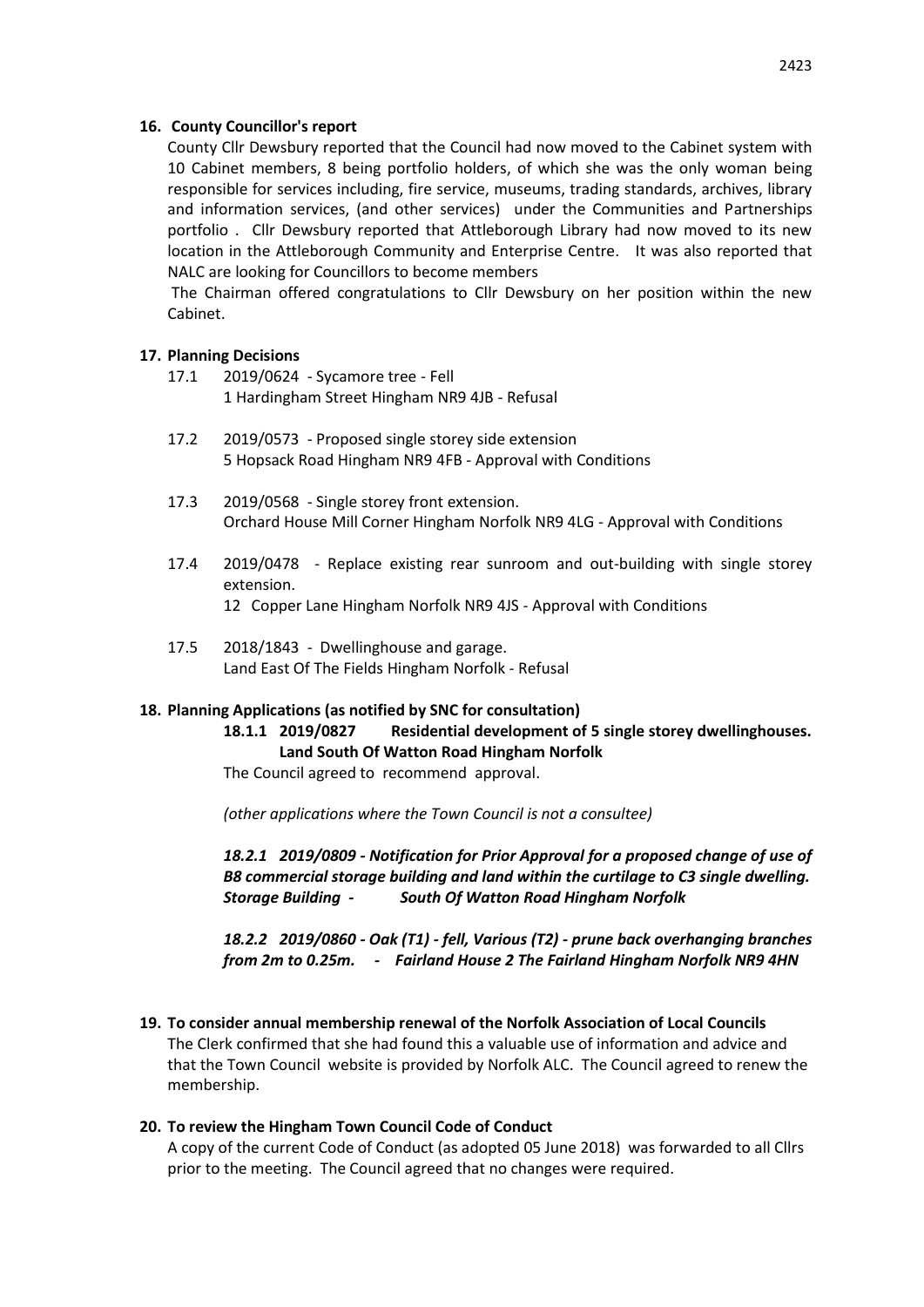## **16. County Councillor's report**

County Cllr Dewsbury reported that the Council had now moved to the Cabinet system with 10 Cabinet members, 8 being portfolio holders, of which she was the only woman being responsible for services including, fire service, museums, trading standards, archives, library and information services, (and other services) under the Communities and Partnerships portfolio . Cllr Dewsbury reported that Attleborough Library had now moved to its new location in the Attleborough Community and Enterprise Centre. It was also reported that NALC are looking for Councillors to become members

The Chairman offered congratulations to Cllr Dewsbury on her position within the new Cabinet.

### **17. Planning Decisions**

- 17.1 2019/0624 Sycamore tree Fell 1 Hardingham Street Hingham NR9 4JB - Refusal
- 17.2 2019/0573 Proposed single storey side extension 5 Hopsack Road Hingham NR9 4FB - Approval with Conditions
- 17.3 2019/0568 Single storey front extension. Orchard House Mill Corner Hingham Norfolk NR9 4LG - Approval with Conditions
- 17.4 2019/0478 Replace existing rear sunroom and out-building with single storey extension. 12 Copper Lane Hingham Norfolk NR9 4JS - Approval with Conditions
- 17.5 2018/1843 Dwellinghouse and garage. Land East Of The Fields Hingham Norfolk - Refusal

#### **18. Planning Applications (as notified by SNC for consultation)**

**18.1.1 2019/0827 Residential development of 5 single storey dwellinghouses. Land South Of Watton Road Hingham Norfolk**

The Council agreed to recommend approval.

*(other applications where the Town Council is not a consultee)*

*18.2.1 2019/0809 - Notification for Prior Approval for a proposed change of use of B8 commercial storage building and land within the curtilage to C3 single dwelling. Storage Building - South Of Watton Road Hingham Norfolk*

*18.2.2 2019/0860 - Oak (T1) - fell, Various (T2) - prune back overhanging branches from 2m to 0.25m. - Fairland House 2 The Fairland Hingham Norfolk NR9 4HN*

**19. To consider annual membership renewal of the Norfolk Association of Local Councils** The Clerk confirmed that she had found this a valuable use of information and advice and that the Town Council website is provided by Norfolk ALC. The Council agreed to renew the membership.

# **20. To review the Hingham Town Council Code of Conduct**

A copy of the current Code of Conduct (as adopted 05 June 2018) was forwarded to all Cllrs prior to the meeting. The Council agreed that no changes were required.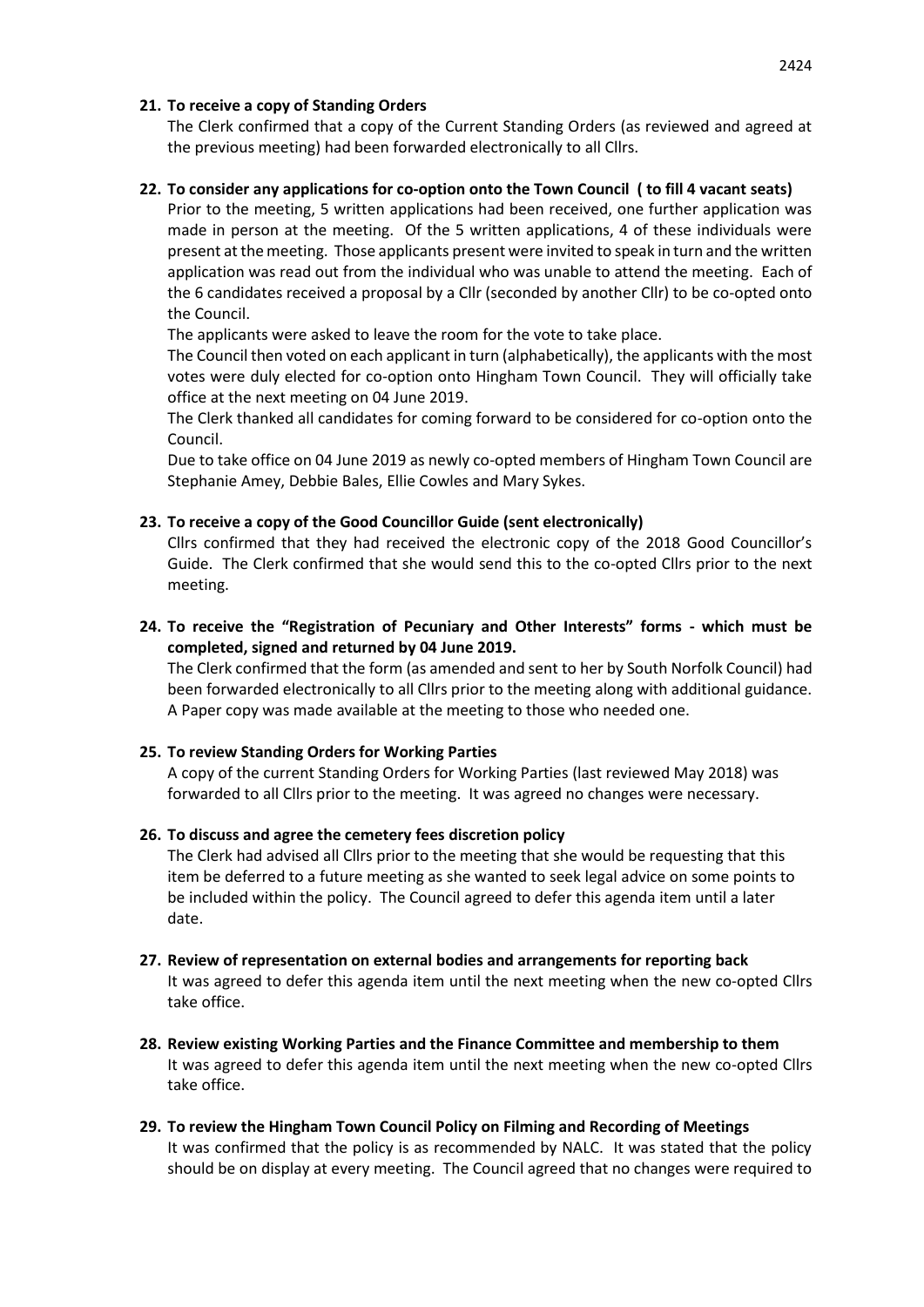# **21. To receive a copy of Standing Orders**

The Clerk confirmed that a copy of the Current Standing Orders (as reviewed and agreed at the previous meeting) had been forwarded electronically to all Cllrs.

# **22. To consider any applications for co-option onto the Town Council ( to fill 4 vacant seats)**

Prior to the meeting, 5 written applications had been received, one further application was made in person at the meeting. Of the 5 written applications, 4 of these individuals were present at the meeting. Those applicants present were invited to speak in turn and the written application was read out from the individual who was unable to attend the meeting. Each of the 6 candidates received a proposal by a Cllr (seconded by another Cllr) to be co-opted onto the Council.

The applicants were asked to leave the room for the vote to take place.

The Council then voted on each applicant in turn (alphabetically), the applicants with the most votes were duly elected for co-option onto Hingham Town Council. They will officially take office at the next meeting on 04 June 2019.

The Clerk thanked all candidates for coming forward to be considered for co-option onto the Council.

Due to take office on 04 June 2019 as newly co-opted members of Hingham Town Council are Stephanie Amey, Debbie Bales, Ellie Cowles and Mary Sykes.

# **23. To receive a copy of the Good Councillor Guide (sent electronically)**

Cllrs confirmed that they had received the electronic copy of the 2018 Good Councillor's Guide. The Clerk confirmed that she would send this to the co-opted Cllrs prior to the next meeting.

**24. To receive the "Registration of Pecuniary and Other Interests" forms - which must be completed, signed and returned by 04 June 2019.**

The Clerk confirmed that the form (as amended and sent to her by South Norfolk Council) had been forwarded electronically to all Cllrs prior to the meeting along with additional guidance. A Paper copy was made available at the meeting to those who needed one.

# **25. To review Standing Orders for Working Parties**

A copy of the current Standing Orders for Working Parties (last reviewed May 2018) was forwarded to all Cllrs prior to the meeting. It was agreed no changes were necessary.

# **26. To discuss and agree the cemetery fees discretion policy**

The Clerk had advised all Cllrs prior to the meeting that she would be requesting that this item be deferred to a future meeting as she wanted to seek legal advice on some points to be included within the policy. The Council agreed to defer this agenda item until a later date.

- **27. Review of representation on external bodies and arrangements for reporting back** It was agreed to defer this agenda item until the next meeting when the new co-opted Cllrs take office.
- **28. Review existing Working Parties and the Finance Committee and membership to them** It was agreed to defer this agenda item until the next meeting when the new co-opted Cllrs take office.
- **29. To review the Hingham Town Council Policy on Filming and Recording of Meetings** It was confirmed that the policy is as recommended by NALC. It was stated that the policy should be on display at every meeting. The Council agreed that no changes were required to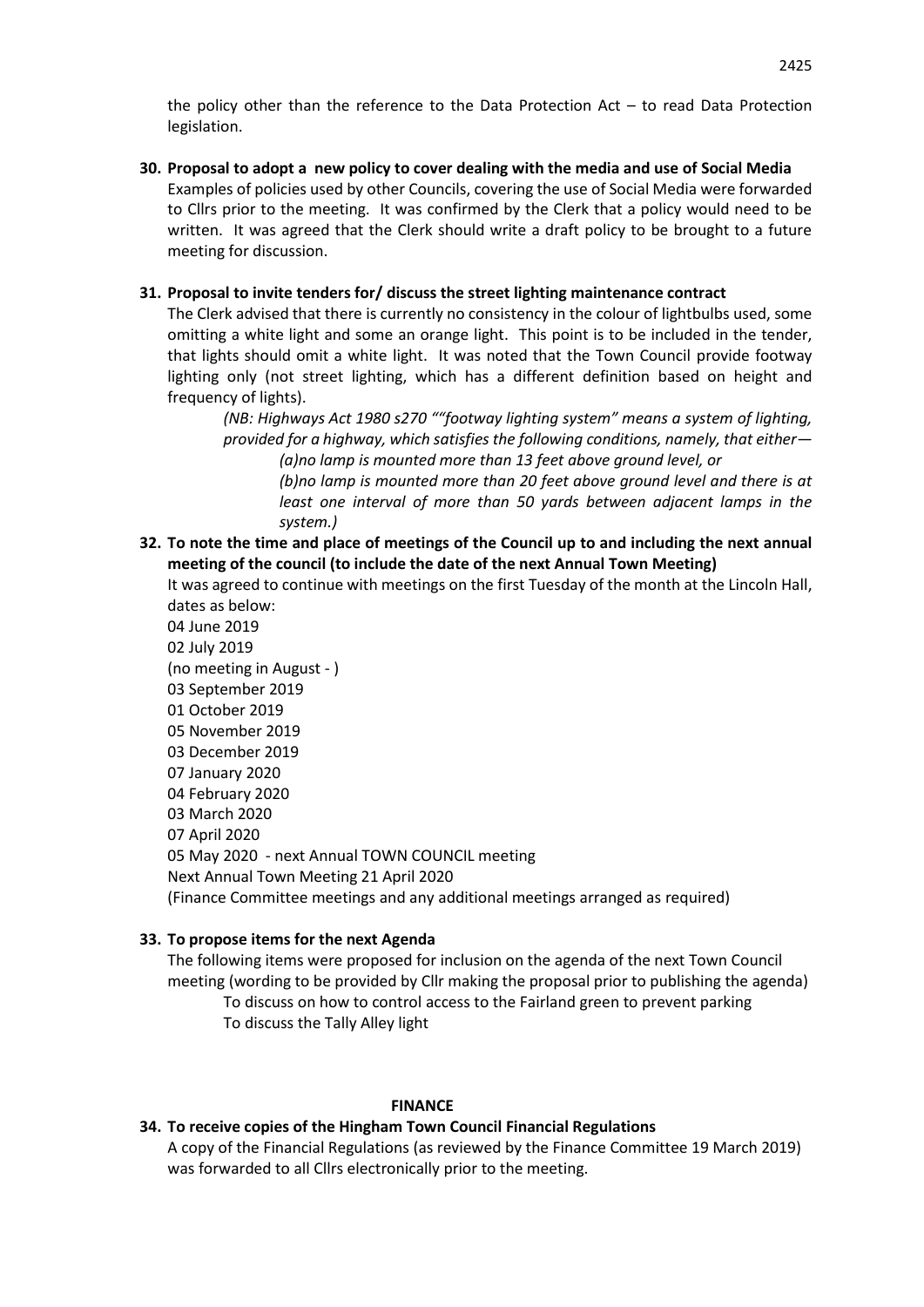the policy other than the reference to the Data Protection Act – to read Data Protection legislation.

**30. Proposal to adopt a new policy to cover dealing with the media and use of Social Media** Examples of policies used by other Councils, covering the use of Social Media were forwarded to Cllrs prior to the meeting. It was confirmed by the Clerk that a policy would need to be written. It was agreed that the Clerk should write a draft policy to be brought to a future meeting for discussion.

# **31. Proposal to invite tenders for/ discuss the street lighting maintenance contract**

The Clerk advised that there is currently no consistency in the colour of lightbulbs used, some omitting a white light and some an orange light. This point is to be included in the tender, that lights should omit a white light. It was noted that the Town Council provide footway lighting only (not street lighting, which has a different definition based on height and frequency of lights).

*(NB: Highways Act 1980 s270 ""footway lighting system" means a system of lighting, provided for a highway, which satisfies the following conditions, namely, that either— (a)no lamp is mounted more than 13 feet above ground level, or*

*(b)no lamp is mounted more than 20 feet above ground level and there is at least one interval of more than 50 yards between adjacent lamps in the system.)*

**32. To note the time and place of meetings of the Council up to and including the next annual meeting of the council (to include the date of the next Annual Town Meeting)**

It was agreed to continue with meetings on the first Tuesday of the month at the Lincoln Hall, dates as below:

04 June 2019 02 July 2019 (no meeting in August - ) 03 September 2019 01 October 2019 05 November 2019 03 December 2019 07 January 2020 04 February 2020 03 March 2020 07 April 2020 05 May 2020 - next Annual TOWN COUNCIL meeting Next Annual Town Meeting 21 April 2020 (Finance Committee meetings and any additional meetings arranged as required)

# **33. To propose items for the next Agenda**

The following items were proposed for inclusion on the agenda of the next Town Council meeting (wording to be provided by Cllr making the proposal prior to publishing the agenda) To discuss on how to control access to the Fairland green to prevent parking To discuss the Tally Alley light

#### **FINANCE**

# **34. To receive copies of the Hingham Town Council Financial Regulations**

A copy of the Financial Regulations (as reviewed by the Finance Committee 19 March 2019) was forwarded to all Cllrs electronically prior to the meeting.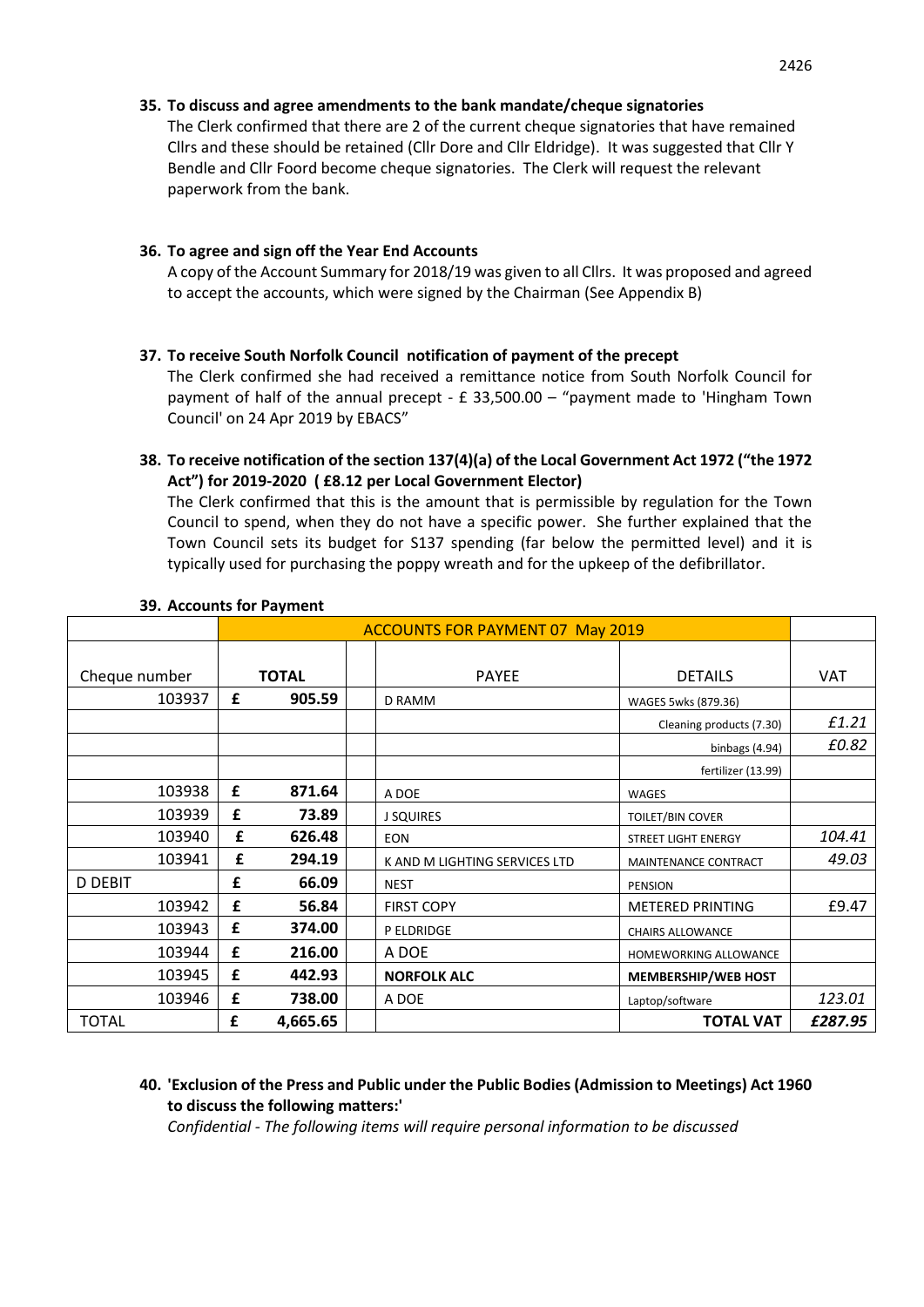# **35. To discuss and agree amendments to the bank mandate/cheque signatories**

The Clerk confirmed that there are 2 of the current cheque signatories that have remained Cllrs and these should be retained (Cllr Dore and Cllr Eldridge). It was suggested that Cllr Y Bendle and Cllr Foord become cheque signatories. The Clerk will request the relevant paperwork from the bank.

# **36. To agree and sign off the Year End Accounts**

A copy of the Account Summary for 2018/19 was given to all Cllrs. It was proposed and agreed to accept the accounts, which were signed by the Chairman (See Appendix B)

### **37. To receive South Norfolk Council notification of payment of the precept**

The Clerk confirmed she had received a remittance notice from South Norfolk Council for payment of half of the annual precept - £ 33,500.00 – "payment made to 'Hingham Town Council' on 24 Apr 2019 by EBACS"

# **38. To receive notification of the section 137(4)(a) of the Local Government Act 1972 ("the 1972 Act") for 2019-2020 ( £8.12 per Local Government Elector)**

The Clerk confirmed that this is the amount that is permissible by regulation for the Town Council to spend, when they do not have a specific power. She further explained that the Town Council sets its budget for S137 spending (far below the permitted level) and it is typically used for purchasing the poppy wreath and for the upkeep of the defibrillator.

|                | <b>ACCOUNTS FOR PAYMENT 07 May 2019</b> |          |  |                               |                              |            |
|----------------|-----------------------------------------|----------|--|-------------------------------|------------------------------|------------|
|                |                                         |          |  |                               |                              |            |
| Cheque number  | <b>TOTAL</b>                            |          |  | <b>PAYEE</b>                  | <b>DETAILS</b>               | <b>VAT</b> |
| 103937         | £                                       | 905.59   |  | D RAMM                        | WAGES 5wks (879.36)          |            |
|                |                                         |          |  |                               | Cleaning products (7.30)     |            |
|                |                                         |          |  |                               | binbags (4.94)               | £0.82      |
|                |                                         |          |  |                               | fertilizer (13.99)           |            |
| 103938         | £                                       | 871.64   |  | A DOE                         | <b>WAGES</b>                 |            |
| 103939         | £                                       | 73.89    |  | <b>J SQUIRES</b>              | <b>TOILET/BIN COVER</b>      |            |
| 103940         | £                                       | 626.48   |  | <b>EON</b>                    | STREET LIGHT ENERGY          | 104.41     |
| 103941         | £                                       | 294.19   |  | K AND M LIGHTING SERVICES LTD | MAINTENANCE CONTRACT         | 49.03      |
| <b>D DEBIT</b> | £                                       | 66.09    |  | <b>NEST</b>                   | <b>PENSION</b>               |            |
| 103942         | £                                       | 56.84    |  | <b>FIRST COPY</b>             | <b>METERED PRINTING</b>      | £9.47      |
| 103943         | £                                       | 374.00   |  | P ELDRIDGE                    | <b>CHAIRS ALLOWANCE</b>      |            |
| 103944         | £                                       | 216.00   |  | A DOE                         | <b>HOMEWORKING ALLOWANCE</b> |            |
| 103945         | £                                       | 442.93   |  | <b>NORFOLK ALC</b>            | MEMBERSHIP/WEB HOST          |            |
| 103946         | £                                       | 738.00   |  | A DOE                         | Laptop/software              | 123.01     |
| <b>TOTAL</b>   | £                                       | 4,665.65 |  |                               | <b>TOTAL VAT</b>             | £287.95    |

#### **39. Accounts for Payment**

# **40. 'Exclusion of the Press and Public under the Public Bodies (Admission to Meetings) Act 1960 to discuss the following matters:'**

*Confidential - The following items will require personal information to be discussed*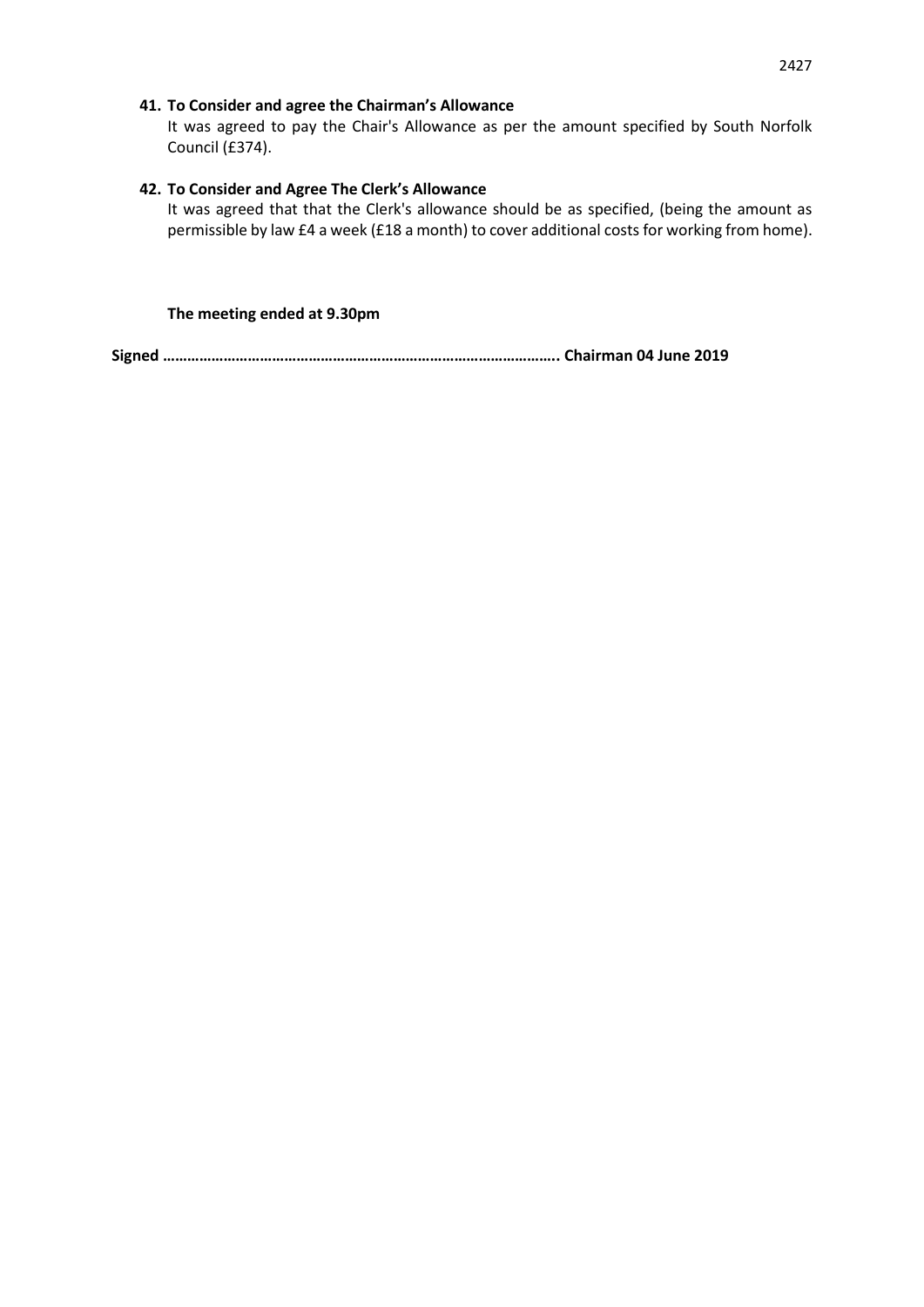# **41. To Consider and agree the Chairman's Allowance**

It was agreed to pay the Chair's Allowance as per the amount specified by South Norfolk Council (£374).

# **42. To Consider and Agree The Clerk's Allowance**

It was agreed that that the Clerk's allowance should be as specified, (being the amount as permissible by law £4 a week (£18 a month) to cover additional costs for working from home).

## **The meeting ended at 9.30pm**

```
Signed …………………………………………………………………………………….. Chairman 04 June 2019
```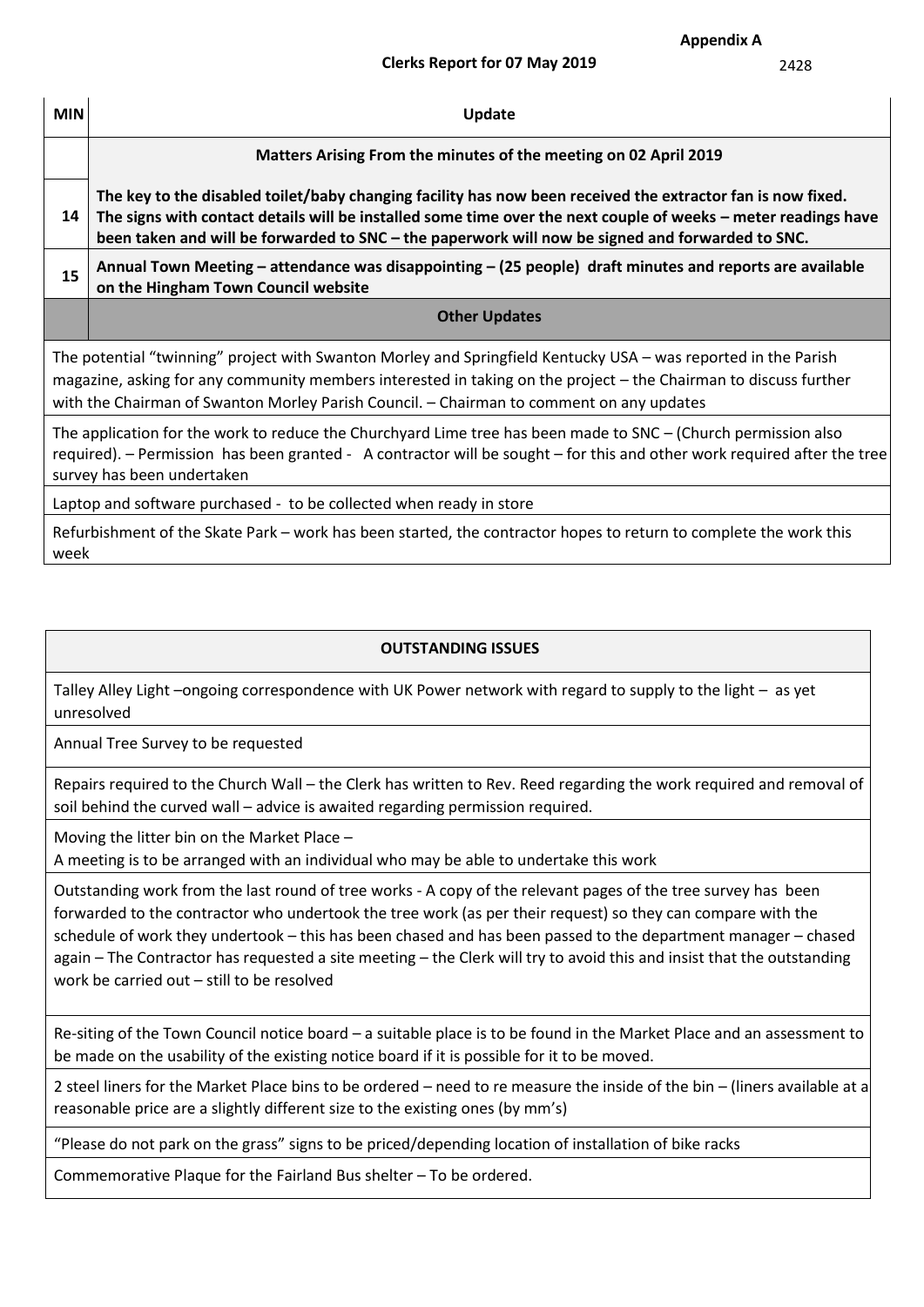2428

| <b>MIN</b>                                                                                                                                                                                                                                                                                                                     | Update                                                                                                                                                                                                                                                                                                                            |  |  |  |  |  |  |
|--------------------------------------------------------------------------------------------------------------------------------------------------------------------------------------------------------------------------------------------------------------------------------------------------------------------------------|-----------------------------------------------------------------------------------------------------------------------------------------------------------------------------------------------------------------------------------------------------------------------------------------------------------------------------------|--|--|--|--|--|--|
|                                                                                                                                                                                                                                                                                                                                | Matters Arising From the minutes of the meeting on 02 April 2019                                                                                                                                                                                                                                                                  |  |  |  |  |  |  |
| 14                                                                                                                                                                                                                                                                                                                             | The key to the disabled toilet/baby changing facility has now been received the extractor fan is now fixed.<br>The signs with contact details will be installed some time over the next couple of weeks – meter readings have<br>been taken and will be forwarded to SNC - the paperwork will now be signed and forwarded to SNC. |  |  |  |  |  |  |
| 15                                                                                                                                                                                                                                                                                                                             | Annual Town Meeting – attendance was disappointing – (25 people) draft minutes and reports are available<br>on the Hingham Town Council website                                                                                                                                                                                   |  |  |  |  |  |  |
|                                                                                                                                                                                                                                                                                                                                | <b>Other Updates</b>                                                                                                                                                                                                                                                                                                              |  |  |  |  |  |  |
| The potential "twinning" project with Swanton Morley and Springfield Kentucky USA – was reported in the Parish<br>magazine, asking for any community members interested in taking on the project – the Chairman to discuss further<br>with the Chairman of Swanton Morley Parish Council. - Chairman to comment on any updates |                                                                                                                                                                                                                                                                                                                                   |  |  |  |  |  |  |
| The application for the work to reduce the Churchyard Lime tree has been made to SNC – (Church permission also<br>required). – Permission has been granted - A contractor will be sought – for this and other work required after the tree<br>survey has been undertaken                                                       |                                                                                                                                                                                                                                                                                                                                   |  |  |  |  |  |  |
| Laptop and software purchased - to be collected when ready in store                                                                                                                                                                                                                                                            |                                                                                                                                                                                                                                                                                                                                   |  |  |  |  |  |  |
| Refurbishment of the Skate Park – work has been started, the contractor hopes to return to complete the work this<br>week                                                                                                                                                                                                      |                                                                                                                                                                                                                                                                                                                                   |  |  |  |  |  |  |

# **OUTSTANDING ISSUES**

Talley Alley Light –ongoing correspondence with UK Power network with regard to supply to the light – as yet unresolved

Annual Tree Survey to be requested

Repairs required to the Church Wall – the Clerk has written to Rev. Reed regarding the work required and removal of soil behind the curved wall – advice is awaited regarding permission required.

Moving the litter bin on the Market Place –

A meeting is to be arranged with an individual who may be able to undertake this work

Outstanding work from the last round of tree works - A copy of the relevant pages of the tree survey has been forwarded to the contractor who undertook the tree work (as per their request) so they can compare with the schedule of work they undertook – this has been chased and has been passed to the department manager – chased again – The Contractor has requested a site meeting – the Clerk will try to avoid this and insist that the outstanding work be carried out – still to be resolved

Re-siting of the Town Council notice board – a suitable place is to be found in the Market Place and an assessment to be made on the usability of the existing notice board if it is possible for it to be moved.

2 steel liners for the Market Place bins to be ordered – need to re measure the inside of the bin – (liners available at a reasonable price are a slightly different size to the existing ones (by mm's)

"Please do not park on the grass" signs to be priced/depending location of installation of bike racks

Commemorative Plaque for the Fairland Bus shelter – To be ordered.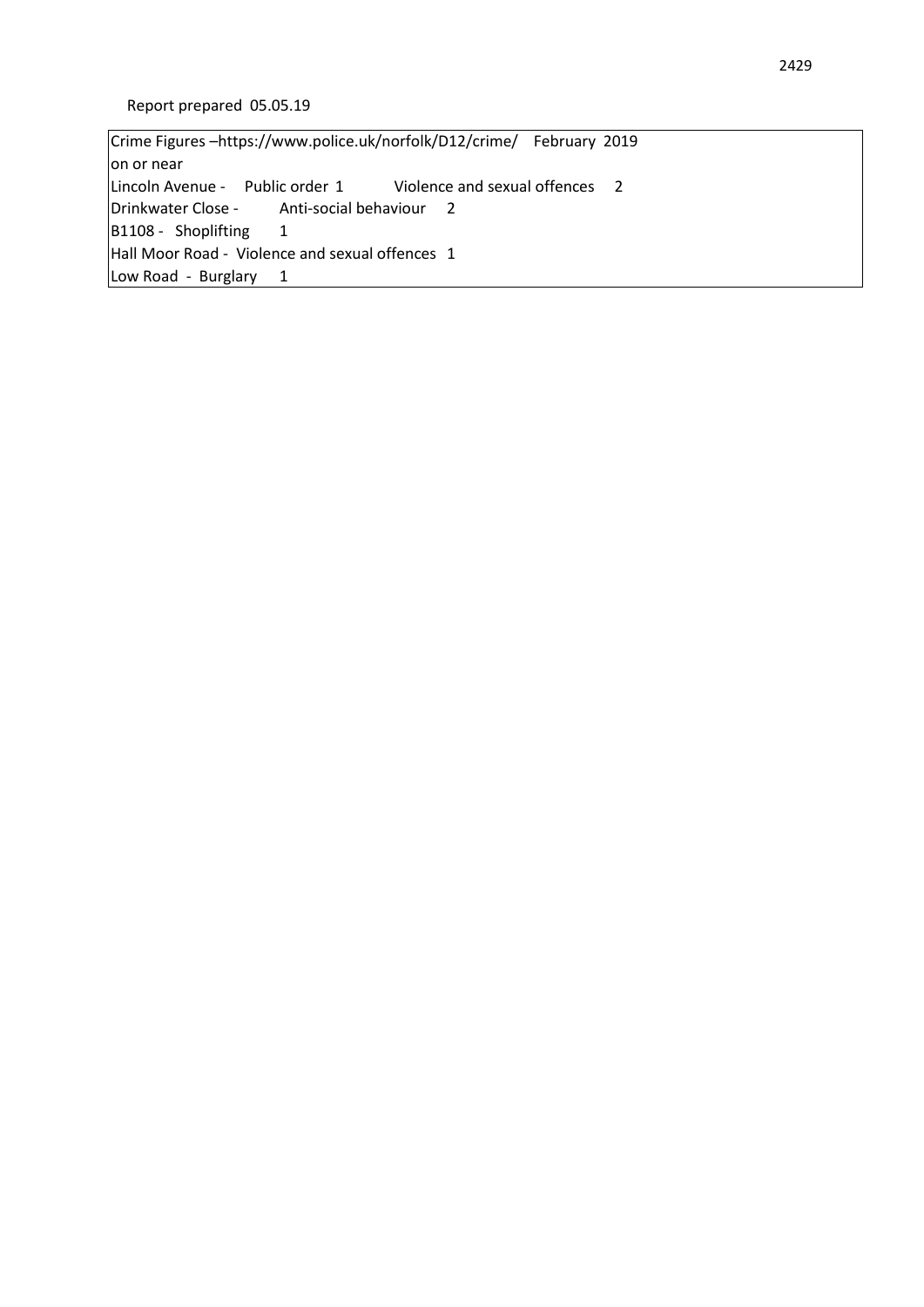Crime Figures –https://www.police.uk/norfolk/D12/crime/ February 2019 on or near Lincoln Avenue - Public order 1 Violence and sexual offences 2 Drinkwater Close - Anti-social behaviour 2 B1108 - Shoplifting 1 Hall Moor Road - Violence and sexual offences 1 Low Road - Burglary 1